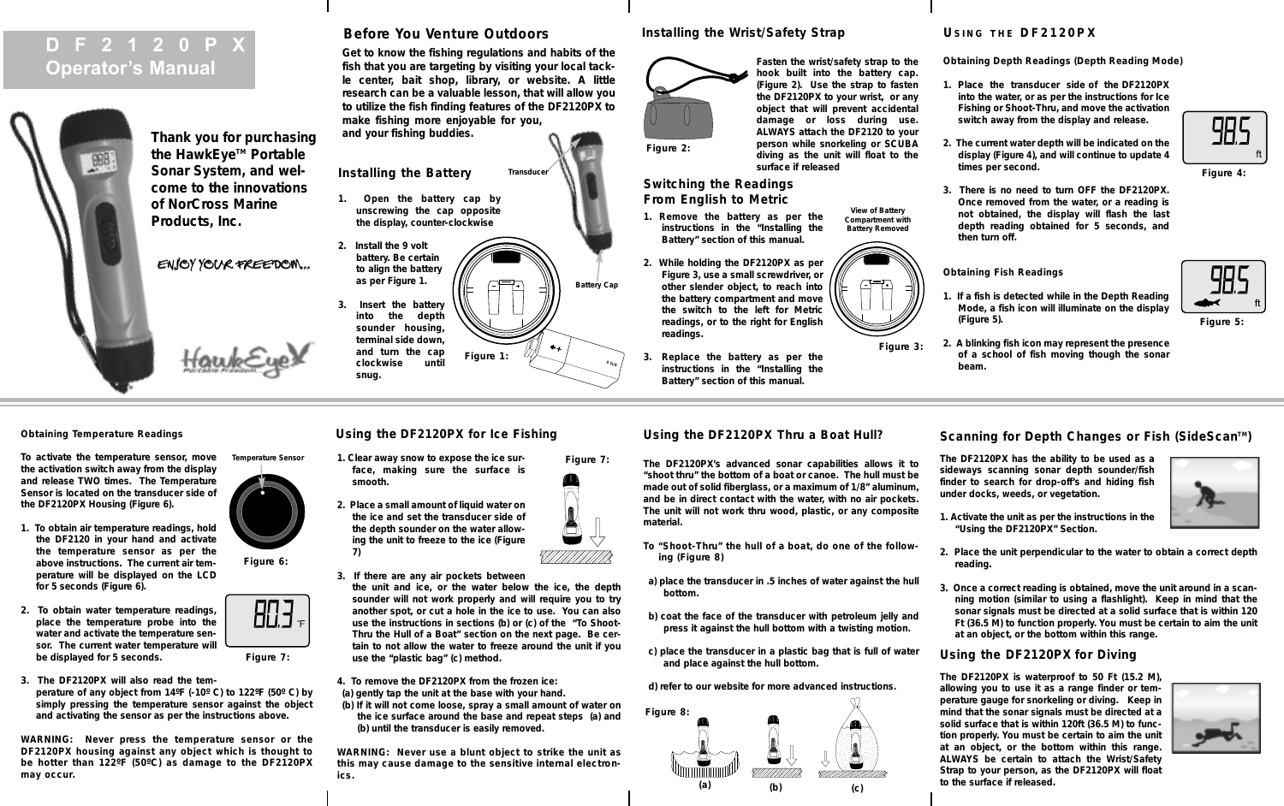# **DF2120PX Operator's Manual**



**Thank you for purchasing** the HawkEve<sup>™</sup> Portable **Sonar System, and welcome to the innovations of NorCross Marine Products, Inc.** 

ENJOY YOUR FREEDOM...

HawkEy

**Before You Venture Outdoors**

**Get to know the fishing regulations and habits of the fish that you are targeting by visiting your local tackle center, bait shop, library, or website. A little research can be a valuable lesson, that will allow you to utilize the fish finding features of the DF2120PX to make fishing more enjoyable for you, and your fishing buddies.**

**Installing the Battery Transduce** 

- **1. Open the battery cap by unscrewing the cap opposite the display, counter-clockwise**
- 

**3. Insert the battery into the depth sounder housing, terminal side down, and turn the cap clockwise until snug.**

**7)** 

**2. Install the 9 volt battery. Be certain to align the battery as per Figure 1. Figure 1:**

# **Installing the Wrist/Safety Strap**



**Figure 2:**

**readings.** 

**Battery Cap**

**Figure 7:**

 $\frac{1}{\sqrt{2}}$ 

**diving as the unit will float to the surface if released Switching the Readings** 

**From English to Metric 1. Remove the battery as per the instructions in the "Installing the**

**Battery" section of this manual.**

**View of Battery Compartment with Battery Removed**

**Fasten the wrist/safety strap to the hook built into the battery cap. (Figure 2). Use the strap to fasten the DF2120PX to your wrist, or any object that will prevent accidental damage or loss during use. ALWAYS attach the DF2120 to your person while snorkeling or SCUBA**



**3. Replace the battery as per the instructions in the "Installing the Battery" section of this manual.**

# **Using the DF2120PX Thru a Boat Hull?**

**The DF2120PX's advanced sonar capabilities allows it to "shoot thru" the bottom of a boat or canoe. The hull must be made out of solid fiberglass, or a maximum of 1/8" aluminum, and be in direct contact with the water, with no air pockets. The unit will not work thru wood, plastic, or any composite material.**

**and place against the hull bottom.**



# **U SING THE DF2120PX**

**Obtaining Depth Readings (Depth Reading Mode)**

- **1. Place the transducer side of the DF2120PX into the water, or as per the instructions for Ice Fishing or Shoot-Thru, and move the activation switch away from the display and release.**
- **2. The current water depth will be indicated on the display (Figure 4), and will continue to update 4 times per second.**
- **3. There is no need to turn OFF the DF2120PX. Once removed from the water, or a reading is not obtained, the display will flash the last depth reading obtained for 5 seconds, and then turn off.**

**Obtaining Fish Readings**

- **1. If a fish is detected while in the Depth Reading Mode, a fish icon will illuminate on the display (Figure 5).**
- **2. A blinking fish icon may represent the presence of a school of fish moving though the sonar beam.**

# **Obtaining Temperature Readings**

**To activate the temperature sensor, move the activation switch away from the display and release TWO times. The Temperature Sensor is located on the transducer side of the DF2120PX Housing (Figure 6).** 

- **1. To obtain air temperature readings, hold the DF2120 in your hand and activate the temperature sensor as per the above instructions. The current air temperature will be displayed on the LCD for 5 seconds (Figure 6).**
- **2. To obtain water temperature readings, place the temperature probe into the water and activate the temperature sensor. The current water temperature will be displayed for 5 seconds.**
- **3. The DF2120PX will also read the temperature of any object from 14ºF (-10º C) to 122ºF (50º C) by simply pressing the temperature sensor against the object and activating the sensor as per the instructions above.**

**WARNING: Never press the temperature sensor or the DF2120PX housing against any object which is thought to be hotter than 122ºF (50ºC) as damage to the DF2120PX may occur.**



**Figure 7:**

803

**Figure 6:**

**Using the DF2120PX for Ice Fishing**

**1. Clear away snow to expose the ice surface, making sure the surface is smooth. 2. Place a small amount of liquid water on**



- **3. If there are any air pockets between the unit and ice, or the water below the ice, the depth sounder will not work properly and will require you to try another spot, or cut a hole in the ice to use. You can also use the instructions in sections (b) or (c) of the "To Shoot-Thru the Hull of a Boat" section on the next page. Be certain to not allow the water to freeze around the unit if you use the "plastic bag" (c) method.**
- **4. To remove the DF2120PX from the frozen ice: (a) gently tap the unit at the base with your hand.**
- **(b) If it will not come loose, spray a small amount of water on the ice surface around the base and repeat steps (a) and (b) until the transducer is easily removed.**

**WARNING: Never use a blunt object to strike the unit as this may cause damage to the sensitive internal electronics.**

- 
- **To "Shoot-Thru" the hull of a boat, do one of the following (Figure 8)**
- **a) place the transducer in .5 inches of water against the hull bottom.**
- **b) coat the face of the transducer with petroleum jelly and press it against the hull bottom with a twisting motion.**
- **c) place the transducer in a plastic bag that is full of water**

**d) refer to our website for more advanced instructions.**



Scanning for Depth Changes or Fish (SideScan<sup>™</sup>)

**The DF2120PX has the ability to be used as a sideways scanning sonar depth sounder/fish finder to search for drop-off's and hiding fish under docks, weeds, or vegetation.**

- **1. Activate the unit as per the instructions in the "Using the DF2120PX" Section.**
- **2. Place the unit perpendicular to the water to obtain a correct depth reading.**
- **3. Once a correct reading is obtained, move the unit around in a scanning motion (similar to using a flashlight). Keep in mind that the sonar signals must be directed at a solid surface that is within 120 Ft (36.5 M) to function properly. You must be certain to aim the unit at an object, or the bottom within this range.**

# **Using the DF2120PX for Diving**

**The DF2120PX is waterproof to 50 Ft (15.2 M), allowing you to use it as a range finder or temperature gauge for snorkeling or diving. Keep in mind that the sonar signals must be directed at a solid surface that is within 120ft (36.5 M) to function properly. You must be certain to aim the unit at an object, or the bottom within this range. ALWAYS be certain to attach the Wrist/Safety Strap to your person, as the DF2120PX will float to the surface if released.**



**Figure 4:**

985<br>383

**Figure 5:**